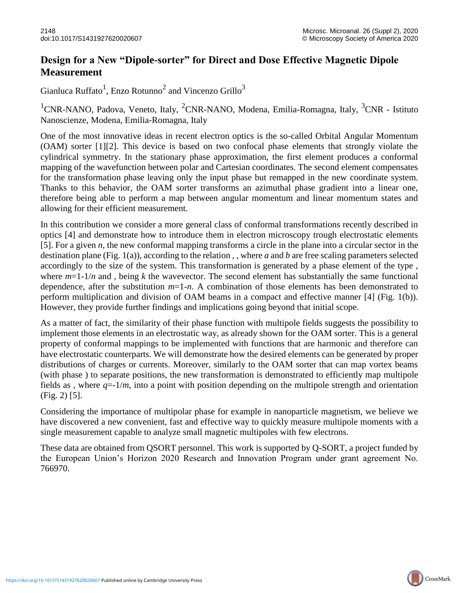## **Design for a New "Dipole-sorter" for Direct and Dose Effective Magnetic Dipole Measurement**

Gianluca Ruffato<sup>1</sup>, Enzo Rotunno<sup>2</sup> and Vincenzo Grillo<sup>3</sup>

<sup>1</sup>CNR-NANO, Padova, Veneto, Italy, <sup>2</sup>CNR-NANO, Modena, Emilia-Romagna, Italy, <sup>3</sup>CNR - Istituto Nanoscienze, Modena, Emilia-Romagna, Italy

One of the most innovative ideas in recent electron optics is the so-called Orbital Angular Momentum (OAM) sorter [1][2]. This device is based on two confocal phase elements that strongly violate the cylindrical symmetry. In the stationary phase approximation, the first element produces a conformal mapping of the wavefunction between polar and Cartesian coordinates. The second element compensates for the transformation phase leaving only the input phase but remapped in the new coordinate system. Thanks to this behavior, the OAM sorter transforms an azimuthal phase gradient into a linear one, therefore being able to perform a map between angular momentum and linear momentum states and allowing for their efficient measurement.

In this contribution we consider a more general class of conformal transformations recently described in optics [4] and demonstrate how to introduce them in electron microscopy trough electrostatic elements [5]. For a given *n*, the new conformal mapping transforms a circle in the plane into a circular sector in the destination plane (Fig. 1(a)), according to the relation , , where *a* and *b* are free scaling parameters selected accordingly to the size of the system. This transformation is generated by a phase element of the type , where  $m=1-1/n$  and, being k the wavevector. The second element has substantially the same functional dependence, after the substitution *m*=1-*n*. A combination of those elements has been demonstrated to perform multiplication and division of OAM beams in a compact and effective manner [4] (Fig. 1(b)). However, they provide further findings and implications going beyond that initial scope.

As a matter of fact, the similarity of their phase function with multipole fields suggests the possibility to implement those elements in an electrostatic way, as already shown for the OAM sorter. This is a general property of conformal mappings to be implemented with functions that are harmonic and therefore can have electrostatic counterparts. We will demonstrate how the desired elements can be generated by proper distributions of charges or currents. Moreover, similarly to the OAM sorter that can map vortex beams (with phase ) to separate positions, the new transformation is demonstrated to efficiently map multipole fields as, where  $q=1/m$ , into a point with position depending on the multipole strength and orientation (Fig. 2) [5].

Considering the importance of multipolar phase for example in nanoparticle magnetism, we believe we have discovered a new convenient, fast and effective way to quickly measure multipole moments with a single measurement capable to analyze small magnetic multipoles with few electrons.

These data are obtained from QSORT personnel. This work is supported by Q-SORT, a project funded by the European Union's Horizon 2020 Research and Innovation Program under grant agreement No. 766970.